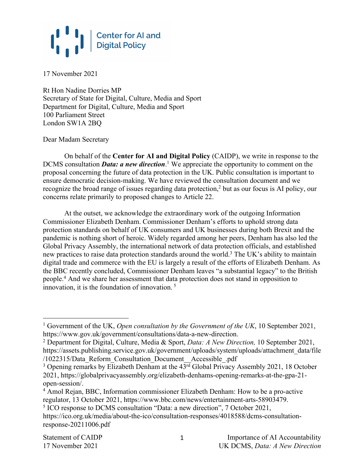17 November 2021

Rt Hon Nadine Dorries MP Secretary of State for Digital, Culture, Media and Sport Department for Digital, Culture, Media and Sport 100 Parliament Street London SW1A 2BQ

Dear Madam Secretary

On behalf of the **Center for AI and Digital Policy** (CAIDP), we write in response to the DCMS consultation *Data: a new direction*. <sup>1</sup> We appreciate the opportunity to comment on the proposal concerning the future of data protection in the UK. Public consultation is important to ensure democratic decision-making. We have reviewed the consultation document and we recognize the broad range of issues regarding data protection,<sup>2</sup> but as our focus is AI policy, our concerns relate primarily to proposed changes to Article 22.

At the outset, we acknowledge the extraordinary work of the outgoing Information Commissioner Elizabeth Denham. Commissioner Denham's efforts to uphold strong data protection standards on behalf of UK consumers and UK businesses during both Brexit and the pandemic is nothing short of heroic. Widely regarded among her peers, Denham has also led the Global Privacy Assembly, the international network of data protection officials, and established new practices to raise data protection standards around the world.<sup>3</sup> The UK's ability to maintain digital trade and commerce with the EU is largely a result of the efforts of Elizabeth Denham. As the BBC recently concluded, Commissioner Denham leaves "a substantial legacy" to the British people. <sup>4</sup> And we share her assessment that data protection does not stand in opposition to innovation, it is the foundation of innovation. <sup>5</sup>

<sup>1</sup> Government of the UK, *Open consultation by the Government of the UK*, 10 September 2021, https://www.gov.uk/government/consultations/data-a-new-direction.

<sup>2</sup> Department for Digital, Culture, Media & Sport, *Data: A New Direction,* 10 September 2021, https://assets.publishing.service.gov.uk/government/uploads/system/uploads/attachment\_data/file /1022315/Data Reform Consultation Document Accessible .pdf

<sup>&</sup>lt;sup>3</sup> Opening remarks by Elizabeth Denham at the  $43^{\overline{rd}}$  Global Privacy Assembly 2021, 18 October 2021, https://globalprivacyassembly.org/elizabeth-denhams-opening-remarks-at-the-gpa-21 open-session/.

<sup>4</sup> Amol Rejan, BBC, Information commissioner Elizabeth Denham: How to be a pro-active regulator, 13 October 2021, https://www.bbc.com/news/entertainment-arts-58903479.

<sup>5</sup> ICO response to DCMS consultation "Data: a new direction", 7 October 2021,

https://ico.org.uk/media/about-the-ico/consultation-responses/4018588/dcms-consultationresponse-20211006.pdf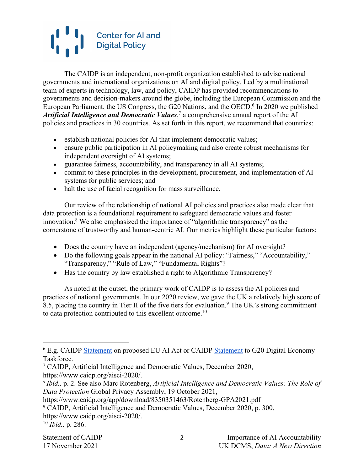The CAIDP is an independent, non-profit organization established to advise national governments and international organizations on AI and digital policy. Led by a multinational team of experts in technology, law, and policy, CAIDP has provided recommendations to governments and decision-makers around the globe, including the European Commission and the European Parliament, the US Congress, the G20 Nations, and the OECD. <sup>6</sup> In 2020 we published Artificial Intelligence and Democratic Values,<sup>7</sup> a comprehensive annual report of the AI policies and practices in 30 countries. As set forth in this report, we recommend that countries:

- establish national policies for AI that implement democratic values;
- ensure public participation in AI policymaking and also create robust mechanisms for independent oversight of AI systems;
- guarantee fairness, accountability, and transparency in all AI systems;
- commit to these principles in the development, procurement, and implementation of AI systems for public services; and
- halt the use of facial recognition for mass surveillance.

Our review of the relationship of national AI policies and practices also made clear that data protection is a foundational requirement to safeguard democratic values and foster innovation.8 We also emphasized the importance of "algorithmic transparency" as the cornerstone of trustworthy and human-centric AI. Our metrics highlight these particular factors:

- Does the country have an independent (agency/mechanism) for AI oversight?
- Do the following goals appear in the national AI policy: "Fairness," "Accountability," "Transparency," "Rule of Law," "Fundamental Rights"?
- Has the country by law established a right to Algorithmic Transparency?

As noted at the outset, the primary work of CAIDP is to assess the AI policies and practices of national governments. In our 2020 review, we gave the UK a relatively high score of 8.5, placing the country in Tier II of the five tiers for evaluation.<sup>9</sup> The UK's strong commitment to data protection contributed to this excellent outcome.10

<sup>&</sup>lt;sup>6</sup> E.g. CAIDP **Statement** on proposed EU AI Act or CAIDP **Statement** to G20 Digital Economy Taskforce.

<sup>7</sup> CAIDP, Artificial Intelligence and Democratic Values, December 2020, https://www.caidp.org/aisci-2020/.

<sup>s</sup> *Ibid.,* p. 2. See also Marc Rotenberg, *Artificial Intelligence and Democratic Values: The Role of Data Protection* Global Privacy Assembly, 19 October 2021,

https://www.caidp.org/app/download/8350351463/Rotenberg-GPA2021.pdf

<sup>9</sup> CAIDP, Artificial Intelligence and Democratic Values, December 2020, p. 300,

https://www.caidp.org/aisci-2020/.

<sup>10</sup> *Ibid.,* p. 286.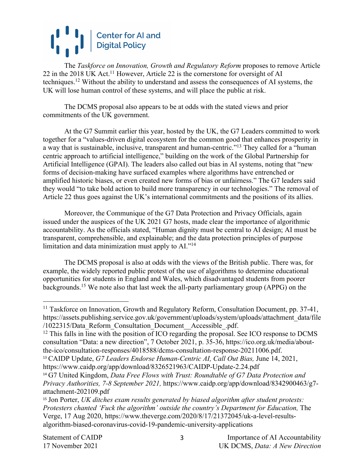The *Taskforce on Innovation, Growth and Regulatory Reform* proposes to remove Article 22 in the 2018 UK Act.<sup>11</sup> However, Article 22 is the cornerstone for oversight of AI techniques.12 Without the ability to understand and assess the consequences of AI systems, the UK will lose human control of these systems, and will place the public at risk.

The DCMS proposal also appears to be at odds with the stated views and prior commitments of the UK government.

At the G7 Summit earlier this year, hosted by the UK, the G7 Leaders committed to work together for a "values-driven digital ecosystem for the common good that enhances prosperity in a way that is sustainable, inclusive, transparent and human-centric."13 They called for a "human centric approach to artificial intelligence," building on the work of the Global Partnership for Artificial Intelligence (GPAI). The leaders also called out bias in AI systems, noting that "new forms of decision-making have surfaced examples where algorithms have entrenched or amplified historic biases, or even created new forms of bias or unfairness." The G7 leaders said they would "to take bold action to build more transparency in our technologies." The removal of Article 22 thus goes against the UK's international commitments and the positions of its allies.

Moreover, the Communique of the G7 Data Protection and Privacy Officials, again issued under the auspices of the UK 2021 G7 hosts, made clear the importance of algorithmic accountability. As the officials stated, "Human dignity must be central to AI design; AI must be transparent, comprehensible, and explainable; and the data protection principles of purpose limitation and data minimization must apply to AI."14

The DCMS proposal is also at odds with the views of the British public. There was, for example, the widely reported public protest of the use of algorithms to determine educational opportunities for students in England and Wales, which disadvantaged students from poorer backgrounds.15 We note also that last week the all-party parliamentary group (APPG) on the

<sup>&</sup>lt;sup>11</sup> Taskforce on Innovation, Growth and Regulatory Reform, Consultation Document, pp. 37-41, https://assets.publishing.service.gov.uk/government/uploads/system/uploads/attachment\_data/file /1022315/Data\_Reform\_Consultation\_Document\_Accessible\_.pdf.

<sup>&</sup>lt;sup>12</sup> This falls in line with the position of ICO regarding the proposal. See ICO response to DCMS consultation "Data: a new direction", 7 October 2021, p. 35-36, https://ico.org.uk/media/aboutthe-ico/consultation-responses/4018588/dcms-consultation-response-20211006.pdf.

<sup>13</sup> CAIDP Update, *G7 Leaders Endorse Human-Centric AI, Call Out Bias,* June 14, 2021, https://www.caidp.org/app/download/8326521963/CAIDP-Update-2.24.pdf

<sup>14</sup> G7 United Kingdom, *Data Free Flows with Trust: Roundtable of G7 Data Protection and Privacy Authorities, 7-8 September 2021,* https://www.caidp.org/app/download/8342900463/g7 attachment-202109.pdf

<sup>15</sup> Jon Porter, *UK ditches exam results generated by biased algorithm after student protests: Protesters chanted 'Fuck the algorithm' outside the country's Department for Education,* The Verge, 17 Aug 2020, https://www.theverge.com/2020/8/17/21372045/uk-a-level-resultsalgorithm-biased-coronavirus-covid-19-pandemic-university-applications